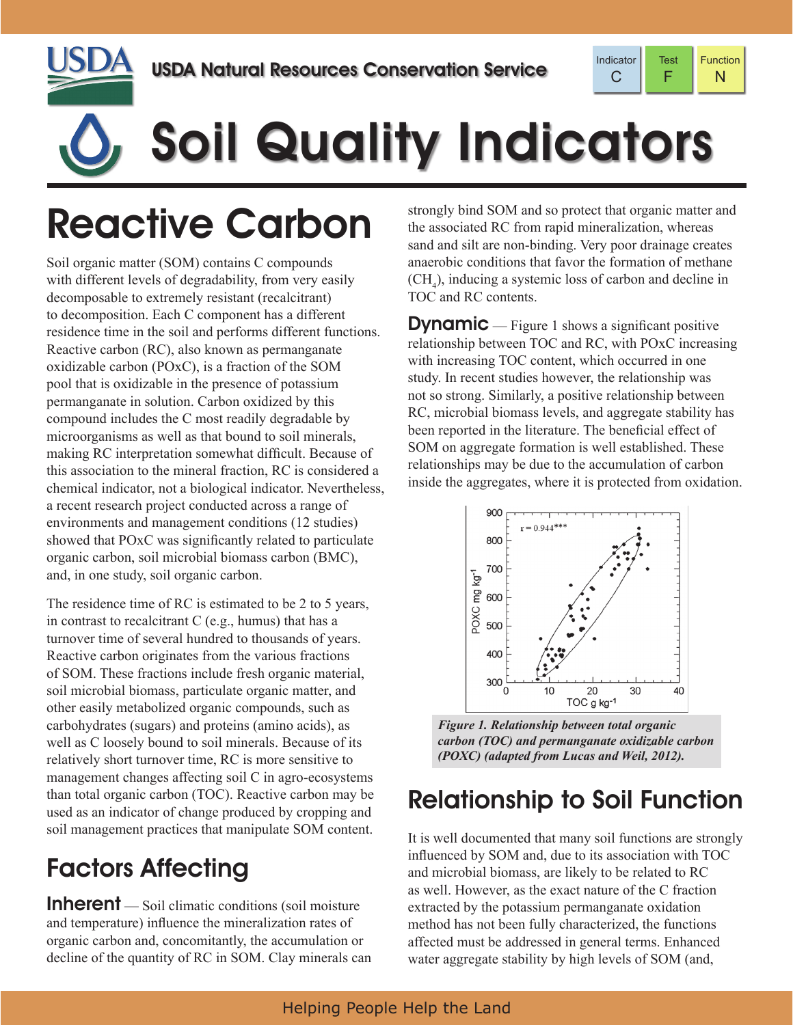



# Soil Quality Indicators

## Reactive Carbon

Soil organic matter (SOM) contains C compounds with different levels of degradability, from very easily decomposable to extremely resistant (recalcitrant) to decomposition. Each C component has a different residence time in the soil and performs different functions. Reactive carbon (RC), also known as permanganate oxidizable carbon (POxC), is a fraction of the SOM pool that is oxidizable in the presence of potassium permanganate in solution. Carbon oxidized by this compound includes the C most readily degradable by microorganisms as well as that bound to soil minerals, making RC interpretation somewhat difficult. Because of this association to the mineral fraction, RC is considered a chemical indicator, not a biological indicator. Nevertheless, a recent research project conducted across a range of environments and management conditions (12 studies) showed that POxC was significantly related to particulate organic carbon, soil microbial biomass carbon (BMC), and, in one study, soil organic carbon.

The residence time of RC is estimated to be 2 to 5 years, in contrast to recalcitrant C (e.g., humus) that has a turnover time of several hundred to thousands of years. Reactive carbon originates from the various fractions of SOM. These fractions include fresh organic material, soil microbial biomass, particulate organic matter, and other easily metabolized organic compounds, such as carbohydrates (sugars) and proteins (amino acids), as well as C loosely bound to soil minerals. Because of its relatively short turnover time, RC is more sensitive to management changes affecting soil C in agro-ecosystems than total organic carbon (TOC). Reactive carbon may be used as an indicator of change produced by cropping and soil management practices that manipulate SOM content.

### Factors Affecting

**Inherent** — Soil climatic conditions (soil moisture) and temperature) influence the mineralization rates of organic carbon and, concomitantly, the accumulation or decline of the quantity of RC in SOM. Clay minerals can strongly bind SOM and so protect that organic matter and the associated RC from rapid mineralization, whereas sand and silt are non-binding. Very poor drainage creates anaerobic conditions that favor the formation of methane  $(CH<sub>4</sub>)$ , inducing a systemic loss of carbon and decline in TOC and RC contents.

**Dynamic** — Figure 1 shows a significant positive relationship between TOC and RC, with POxC increasing with increasing TOC content, which occurred in one study. In recent studies however, the relationship was not so strong. Similarly, a positive relationship between RC, microbial biomass levels, and aggregate stability has been reported in the literature. The beneficial effect of SOM on aggregate formation is well established. These relationships may be due to the accumulation of carbon inside the aggregates, where it is protected from oxidation.



*Figure 1. Relationship between total organic carbon (TOC) and permanganate oxidizable carbon (POXC) (adapted from Lucas and Weil, 2012).*

#### Relationship to Soil Function

It is well documented that many soil functions are strongly influenced by SOM and, due to its association with TOC and microbial biomass, are likely to be related to RC as well. However, as the exact nature of the C fraction extracted by the potassium permanganate oxidation method has not been fully characterized, the functions affected must be addressed in general terms. Enhanced water aggregate stability by high levels of SOM (and,